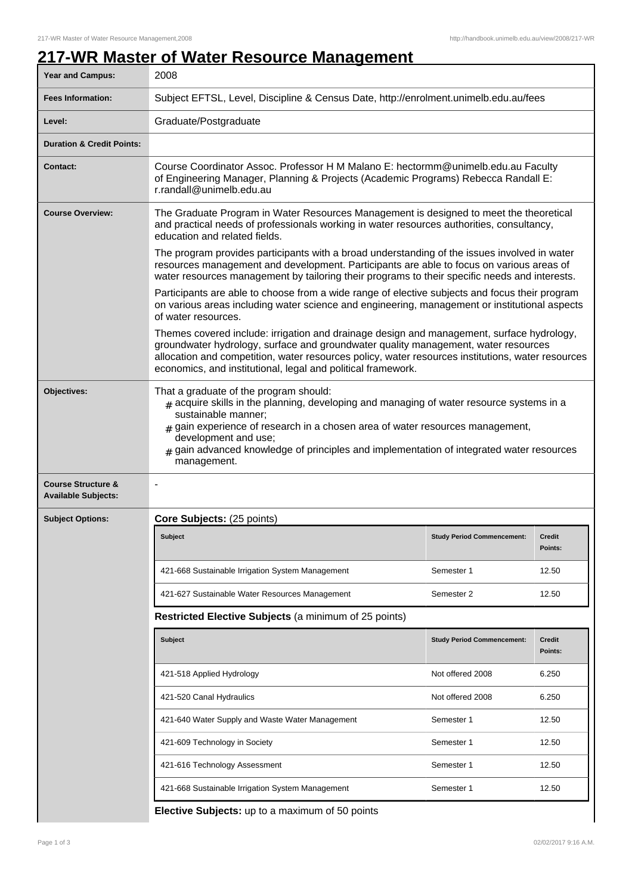## **217-WR Master of Water Resource Management**

| <b>Year and Campus:</b>                                     | 2008                                                                                                                                                                                                                                                                                                                                                                            |                                   |                          |  |  |
|-------------------------------------------------------------|---------------------------------------------------------------------------------------------------------------------------------------------------------------------------------------------------------------------------------------------------------------------------------------------------------------------------------------------------------------------------------|-----------------------------------|--------------------------|--|--|
| <b>Fees Information:</b>                                    | Subject EFTSL, Level, Discipline & Census Date, http://enrolment.unimelb.edu.au/fees                                                                                                                                                                                                                                                                                            |                                   |                          |  |  |
| Level:                                                      | Graduate/Postgraduate                                                                                                                                                                                                                                                                                                                                                           |                                   |                          |  |  |
| <b>Duration &amp; Credit Points:</b>                        |                                                                                                                                                                                                                                                                                                                                                                                 |                                   |                          |  |  |
| <b>Contact:</b>                                             | Course Coordinator Assoc. Professor H M Malano E: hectormm@unimelb.edu.au Faculty<br>of Engineering Manager, Planning & Projects (Academic Programs) Rebecca Randall E:<br>r.randall@unimelb.edu.au                                                                                                                                                                             |                                   |                          |  |  |
| <b>Course Overview:</b>                                     | The Graduate Program in Water Resources Management is designed to meet the theoretical<br>and practical needs of professionals working in water resources authorities, consultancy,<br>education and related fields.                                                                                                                                                            |                                   |                          |  |  |
|                                                             | The program provides participants with a broad understanding of the issues involved in water<br>resources management and development. Participants are able to focus on various areas of<br>water resources management by tailoring their programs to their specific needs and interests.                                                                                       |                                   |                          |  |  |
|                                                             | Participants are able to choose from a wide range of elective subjects and focus their program<br>on various areas including water science and engineering, management or institutional aspects<br>of water resources.                                                                                                                                                          |                                   |                          |  |  |
|                                                             | Themes covered include: irrigation and drainage design and management, surface hydrology,<br>groundwater hydrology, surface and groundwater quality management, water resources<br>allocation and competition, water resources policy, water resources institutions, water resources<br>economics, and institutional, legal and political framework.                            |                                   |                          |  |  |
| Objectives:                                                 | That a graduate of the program should:<br>$#$ acquire skills in the planning, developing and managing of water resource systems in a<br>sustainable manner;<br>$#$ gain experience of research in a chosen area of water resources management,<br>development and use;<br>gain advanced knowledge of principles and implementation of integrated water resources<br>management. |                                   |                          |  |  |
| <b>Course Structure &amp;</b><br><b>Available Subjects:</b> |                                                                                                                                                                                                                                                                                                                                                                                 |                                   |                          |  |  |
| <b>Subject Options:</b>                                     | Core Subjects: (25 points)                                                                                                                                                                                                                                                                                                                                                      |                                   |                          |  |  |
|                                                             | <b>Subject</b>                                                                                                                                                                                                                                                                                                                                                                  | <b>Study Period Commencement:</b> | <b>Credit</b><br>Points: |  |  |
|                                                             | 421-668 Sustainable Irrigation System Management                                                                                                                                                                                                                                                                                                                                | Semester 1                        | 12.50                    |  |  |
|                                                             | 421-627 Sustainable Water Resources Management                                                                                                                                                                                                                                                                                                                                  | Semester 2                        | 12.50                    |  |  |
|                                                             | Restricted Elective Subjects (a minimum of 25 points)                                                                                                                                                                                                                                                                                                                           |                                   |                          |  |  |
|                                                             | <b>Subject</b>                                                                                                                                                                                                                                                                                                                                                                  | <b>Study Period Commencement:</b> | <b>Credit</b><br>Points: |  |  |
|                                                             | 421-518 Applied Hydrology                                                                                                                                                                                                                                                                                                                                                       | Not offered 2008                  | 6.250                    |  |  |
|                                                             | 421-520 Canal Hydraulics                                                                                                                                                                                                                                                                                                                                                        | Not offered 2008                  | 6.250                    |  |  |
|                                                             | 421-640 Water Supply and Waste Water Management                                                                                                                                                                                                                                                                                                                                 | Semester 1                        | 12.50                    |  |  |
|                                                             | 421-609 Technology in Society                                                                                                                                                                                                                                                                                                                                                   | Semester 1                        | 12.50                    |  |  |
|                                                             | 421-616 Technology Assessment                                                                                                                                                                                                                                                                                                                                                   | Semester 1                        | 12.50                    |  |  |
|                                                             | 421-668 Sustainable Irrigation System Management                                                                                                                                                                                                                                                                                                                                | Semester 1                        | 12.50                    |  |  |
|                                                             | Elective Subjects: up to a maximum of 50 points                                                                                                                                                                                                                                                                                                                                 |                                   |                          |  |  |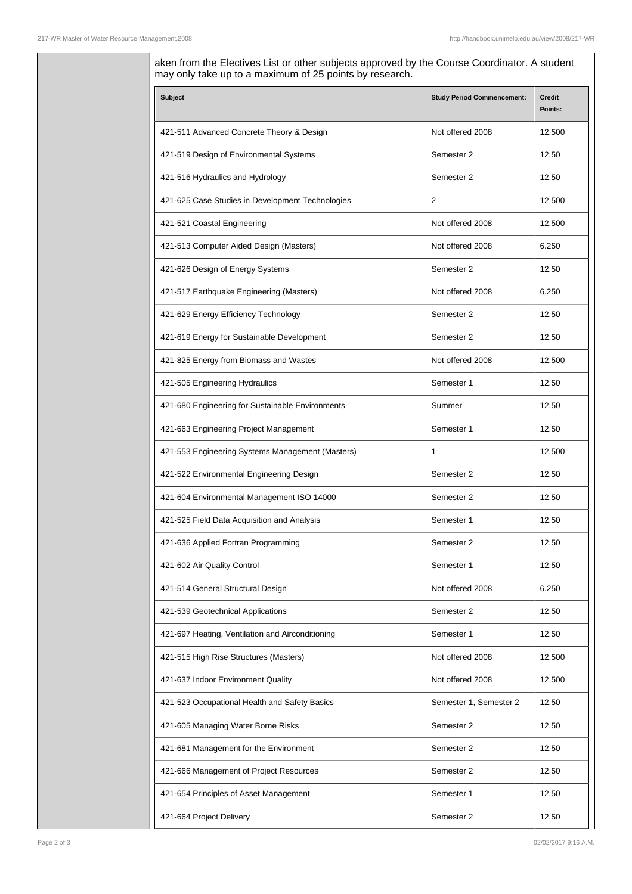aken from the Electives List or other subjects approved by the Course Coordinator. A student may only take up to a maximum of 25 points by research.

| <b>Subject</b>                                   | <b>Study Period Commencement:</b> | <b>Credit</b><br>Points: |
|--------------------------------------------------|-----------------------------------|--------------------------|
| 421-511 Advanced Concrete Theory & Design        | Not offered 2008                  | 12.500                   |
| 421-519 Design of Environmental Systems          | Semester 2                        | 12.50                    |
| 421-516 Hydraulics and Hydrology                 | Semester 2                        | 12.50                    |
| 421-625 Case Studies in Development Technologies | 2                                 | 12.500                   |
| 421-521 Coastal Engineering                      | Not offered 2008                  | 12.500                   |
| 421-513 Computer Aided Design (Masters)          | Not offered 2008                  | 6.250                    |
| 421-626 Design of Energy Systems                 | Semester 2                        | 12.50                    |
| 421-517 Earthquake Engineering (Masters)         | Not offered 2008                  | 6.250                    |
| 421-629 Energy Efficiency Technology             | Semester 2                        | 12.50                    |
| 421-619 Energy for Sustainable Development       | Semester 2                        | 12.50                    |
| 421-825 Energy from Biomass and Wastes           | Not offered 2008                  | 12.500                   |
| 421-505 Engineering Hydraulics                   | Semester 1                        | 12.50                    |
| 421-680 Engineering for Sustainable Environments | Summer                            | 12.50                    |
| 421-663 Engineering Project Management           | Semester 1                        | 12.50                    |
| 421-553 Engineering Systems Management (Masters) | 1                                 | 12.500                   |
| 421-522 Environmental Engineering Design         | Semester 2                        | 12.50                    |
| 421-604 Environmental Management ISO 14000       | Semester 2                        | 12.50                    |
| 421-525 Field Data Acquisition and Analysis      | Semester 1                        | 12.50                    |
| 421-636 Applied Fortran Programming              | Semester 2                        | 12.50                    |
| 421-602 Air Quality Control                      | Semester 1                        | 12.50                    |
| 421-514 General Structural Design                | Not offered 2008                  | 6.250                    |
| 421-539 Geotechnical Applications                | Semester 2                        | 12.50                    |
| 421-697 Heating, Ventilation and Airconditioning | Semester 1                        | 12.50                    |
| 421-515 High Rise Structures (Masters)           | Not offered 2008                  | 12.500                   |
| 421-637 Indoor Environment Quality               | Not offered 2008                  | 12.500                   |
| 421-523 Occupational Health and Safety Basics    | Semester 1, Semester 2            | 12.50                    |
| 421-605 Managing Water Borne Risks               | Semester 2                        | 12.50                    |
| 421-681 Management for the Environment           | Semester 2                        | 12.50                    |
| 421-666 Management of Project Resources          | Semester 2                        | 12.50                    |
| 421-654 Principles of Asset Management           | Semester 1                        | 12.50                    |
| 421-664 Project Delivery                         | Semester 2                        | 12.50                    |